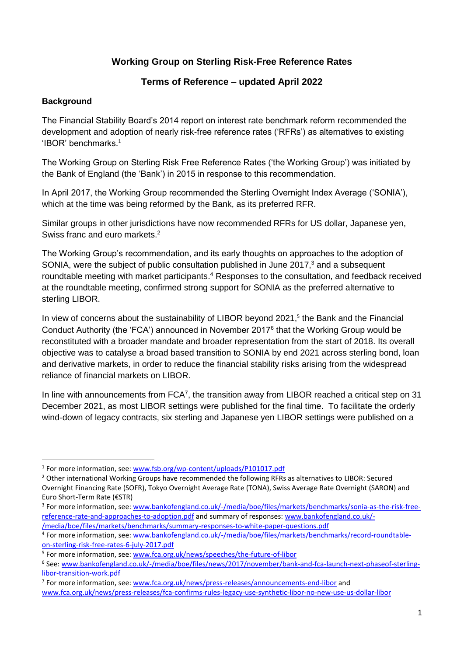# **Working Group on Sterling Risk-Free Reference Rates**

# **Terms of Reference – updated April 2022**

## **Background**

 $\overline{a}$ 

The Financial Stability Board's 2014 report on interest rate benchmark reform recommended the development and adoption of nearly risk-free reference rates ('RFRs') as alternatives to existing 'IBOR' benchmarks.<sup>1</sup>

The Working Group on Sterling Risk Free Reference Rates ('the Working Group') was initiated by the Bank of England (the 'Bank') in 2015 in response to this recommendation.

In April 2017, the Working Group recommended the Sterling Overnight Index Average ('SONIA'), which at the time was being reformed by the Bank, as its preferred RFR.

Similar groups in other jurisdictions have now recommended RFRs for US dollar, Japanese yen, Swiss franc and euro markets.<sup>2</sup>

The Working Group's recommendation, and its early thoughts on approaches to the adoption of SONIA, were the subject of public consultation published in June 2017,<sup>3</sup> and a subsequent roundtable meeting with market participants.<sup>4</sup> Responses to the consultation, and feedback received at the roundtable meeting, confirmed strong support for SONIA as the preferred alternative to sterling LIBOR.

In view of concerns about the sustainability of LIBOR beyond 2021,<sup>5</sup> the Bank and the Financial Conduct Authority (the 'FCA') announced in November 2017<sup>6</sup> that the Working Group would be reconstituted with a broader mandate and broader representation from the start of 2018. Its overall objective was to catalyse a broad based transition to SONIA by end 2021 across sterling bond, loan and derivative markets, in order to reduce the financial stability risks arising from the widespread reliance of financial markets on LIBOR.

In line with announcements from  $FCA^7$ , the transition away from LIBOR reached a critical step on 31 December 2021, as most LIBOR settings were published for the final time. To facilitate the orderly wind-down of legacy contracts, six sterling and Japanese yen LIBOR settings were published on a

<sup>3</sup> For more information, see: [www.bankofengland.co.uk/-/media/boe/files/markets/benchmarks/sonia-as-the-risk-free](https://www.bankofengland.co.uk/-/media/boe/files/markets/benchmarks/sonia-as-the-risk-free-reference-rate-and-approaches-to-adoption.pdf)[reference-rate-and-approaches-to-adoption.pdf](https://www.bankofengland.co.uk/-/media/boe/files/markets/benchmarks/sonia-as-the-risk-free-reference-rate-and-approaches-to-adoption.pdf) and summary of responses[: www.bankofengland.co.uk/-](https://www.bankofengland.co.uk/-/media/boe/files/markets/benchmarks/summary-responses-to-white-paper-questions.pdf) [/media/boe/files/markets/benchmarks/summary-responses-to-white-paper-questions.pdf](https://www.bankofengland.co.uk/-/media/boe/files/markets/benchmarks/summary-responses-to-white-paper-questions.pdf)

<sup>7</sup> For more information, see: [www.fca.org.uk/news/press-releases/announcements-end-libor](https://www.fca.org.uk/news/press-releases/announcements-end-libor) and [www.fca.org.uk/news/press-releases/fca-confirms-rules-legacy-use-synthetic-libor-no-new-use-us-dollar-libor](https://www.fca.org.uk/news/press-releases/fca-confirms-rules-legacy-use-synthetic-libor-no-new-use-us-dollar-libor)

<sup>&</sup>lt;sup>1</sup> For more information, see: www.fsb.org/wp-content/uploads/P101017.pdf

<sup>&</sup>lt;sup>2</sup> Other international Working Groups have recommended the following RFRs as alternatives to LIBOR: Secured Overnight Financing Rate (SOFR), Tokyo Overnight Average Rate (TONA), Swiss Average Rate Overnight (SARON) and Euro Short-Term Rate (€STR)

<sup>&</sup>lt;sup>4</sup> For more information, see: [www.bankofengland.co.uk/-/media/boe/files/markets/benchmarks/record-roundtable](https://www.bankofengland.co.uk/-/media/boe/files/markets/benchmarks/record-roundtable-on-sterling-risk-free-rates-6-july-2017.pdf)[on-sterling-risk-free-rates-6-july-2017.pdf](https://www.bankofengland.co.uk/-/media/boe/files/markets/benchmarks/record-roundtable-on-sterling-risk-free-rates-6-july-2017.pdf)

<sup>&</sup>lt;sup>5</sup> For more information, see: www.fca.org.uk/news/speeches/the-future-of-libor

<sup>&</sup>lt;sup>6</sup> See: [www.bankofengland.co.uk/-/media/boe/files/news/2017/november/bank-and-fca-launch-next-phaseof-sterling](https://www.bankofengland.co.uk/-/media/boe/files/news/2017/november/bank-and-fca-launch-next-phaseof-sterling-libor-transition-work.pdf)[libor-transition-work.pdf](https://www.bankofengland.co.uk/-/media/boe/files/news/2017/november/bank-and-fca-launch-next-phaseof-sterling-libor-transition-work.pdf)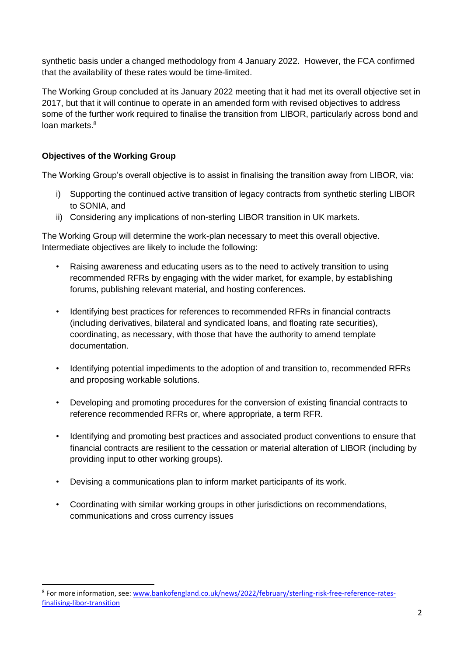synthetic basis under a changed methodology from 4 January 2022. However, the FCA confirmed that the availability of these rates would be time-limited.

The Working Group concluded at its January 2022 meeting that it had met its overall objective set in 2017, but that it will continue to operate in an amended form with revised objectives to address some of the further work required to finalise the transition from LIBOR, particularly across bond and loan markets.<sup>8</sup>

## **Objectives of the Working Group**

 $\ddot{\phantom{a}}$ 

The Working Group's overall objective is to assist in finalising the transition away from LIBOR, via:

- i) Supporting the continued active transition of legacy contracts from synthetic sterling LIBOR to SONIA, and
- ii) Considering any implications of non-sterling LIBOR transition in UK markets.

The Working Group will determine the work-plan necessary to meet this overall objective. Intermediate objectives are likely to include the following:

- Raising awareness and educating users as to the need to actively transition to using recommended RFRs by engaging with the wider market, for example, by establishing forums, publishing relevant material, and hosting conferences.
- Identifying best practices for references to recommended RFRs in financial contracts (including derivatives, bilateral and syndicated loans, and floating rate securities), coordinating, as necessary, with those that have the authority to amend template documentation.
- Identifying potential impediments to the adoption of and transition to, recommended RFRs and proposing workable solutions.
- Developing and promoting procedures for the conversion of existing financial contracts to reference recommended RFRs or, where appropriate, a term RFR.
- Identifying and promoting best practices and associated product conventions to ensure that financial contracts are resilient to the cessation or material alteration of LIBOR (including by providing input to other working groups).
- Devising a communications plan to inform market participants of its work.
- Coordinating with similar working groups in other jurisdictions on recommendations, communications and cross currency issues

<sup>&</sup>lt;sup>8</sup> For more information, see: [www.bankofengland.co.uk/news/2022/february/sterling-risk-free-reference-rates](https://www.bankofengland.co.uk/news/2022/february/sterling-risk-free-reference-rates-finalising-libor-transition)[finalising-libor-transition](https://www.bankofengland.co.uk/news/2022/february/sterling-risk-free-reference-rates-finalising-libor-transition)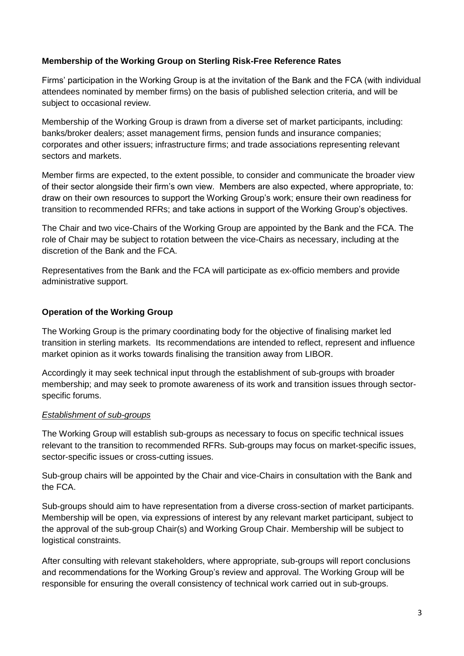#### **Membership of the Working Group on Sterling Risk-Free Reference Rates**

Firms' participation in the Working Group is at the invitation of the Bank and the FCA (with individual attendees nominated by member firms) on the basis of published selection criteria, and will be subject to occasional review.

Membership of the Working Group is drawn from a diverse set of market participants, including: banks/broker dealers; asset management firms, pension funds and insurance companies; corporates and other issuers; infrastructure firms; and trade associations representing relevant sectors and markets.

Member firms are expected, to the extent possible, to consider and communicate the broader view of their sector alongside their firm's own view. Members are also expected, where appropriate, to: draw on their own resources to support the Working Group's work; ensure their own readiness for transition to recommended RFRs; and take actions in support of the Working Group's objectives.

The Chair and two vice-Chairs of the Working Group are appointed by the Bank and the FCA. The role of Chair may be subject to rotation between the vice-Chairs as necessary, including at the discretion of the Bank and the FCA.

Representatives from the Bank and the FCA will participate as ex-officio members and provide administrative support.

#### **Operation of the Working Group**

The Working Group is the primary coordinating body for the objective of finalising market led transition in sterling markets. Its recommendations are intended to reflect, represent and influence market opinion as it works towards finalising the transition away from LIBOR.

Accordingly it may seek technical input through the establishment of sub-groups with broader membership; and may seek to promote awareness of its work and transition issues through sectorspecific forums.

#### *Establishment of sub-groups*

The Working Group will establish sub-groups as necessary to focus on specific technical issues relevant to the transition to recommended RFRs. Sub-groups may focus on market-specific issues, sector-specific issues or cross-cutting issues.

Sub-group chairs will be appointed by the Chair and vice-Chairs in consultation with the Bank and the FCA.

Sub-groups should aim to have representation from a diverse cross-section of market participants. Membership will be open, via expressions of interest by any relevant market participant, subject to the approval of the sub-group Chair(s) and Working Group Chair. Membership will be subject to logistical constraints.

After consulting with relevant stakeholders, where appropriate, sub-groups will report conclusions and recommendations for the Working Group's review and approval. The Working Group will be responsible for ensuring the overall consistency of technical work carried out in sub-groups.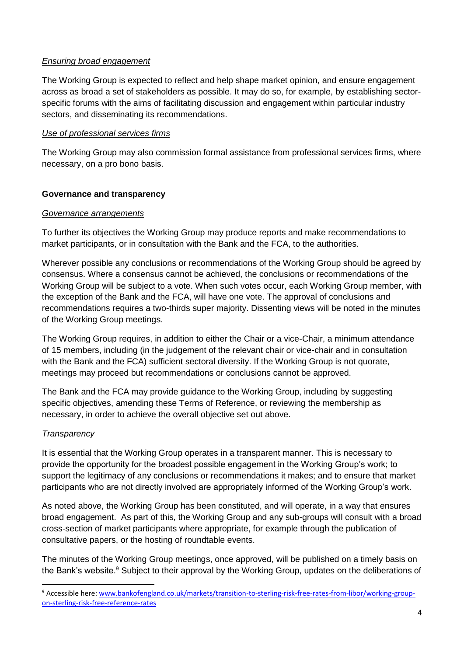## *Ensuring broad engagement*

The Working Group is expected to reflect and help shape market opinion, and ensure engagement across as broad a set of stakeholders as possible. It may do so, for example, by establishing sectorspecific forums with the aims of facilitating discussion and engagement within particular industry sectors, and disseminating its recommendations.

## *Use of professional services firms*

The Working Group may also commission formal assistance from professional services firms, where necessary, on a pro bono basis.

## **Governance and transparency**

#### *Governance arrangements*

To further its objectives the Working Group may produce reports and make recommendations to market participants, or in consultation with the Bank and the FCA, to the authorities.

Wherever possible any conclusions or recommendations of the Working Group should be agreed by consensus. Where a consensus cannot be achieved, the conclusions or recommendations of the Working Group will be subject to a vote. When such votes occur, each Working Group member, with the exception of the Bank and the FCA, will have one vote. The approval of conclusions and recommendations requires a two-thirds super majority. Dissenting views will be noted in the minutes of the Working Group meetings.

The Working Group requires, in addition to either the Chair or a vice-Chair, a minimum attendance of 15 members, including (in the judgement of the relevant chair or vice-chair and in consultation with the Bank and the FCA) sufficient sectoral diversity. If the Working Group is not quorate, meetings may proceed but recommendations or conclusions cannot be approved.

The Bank and the FCA may provide guidance to the Working Group, including by suggesting specific objectives, amending these Terms of Reference, or reviewing the membership as necessary, in order to achieve the overall objective set out above.

## *Transparency*

 $\ddot{\phantom{a}}$ 

It is essential that the Working Group operates in a transparent manner. This is necessary to provide the opportunity for the broadest possible engagement in the Working Group's work; to support the legitimacy of any conclusions or recommendations it makes; and to ensure that market participants who are not directly involved are appropriately informed of the Working Group's work.

As noted above, the Working Group has been constituted, and will operate, in a way that ensures broad engagement. As part of this, the Working Group and any sub-groups will consult with a broad cross-section of market participants where appropriate, for example through the publication of consultative papers, or the hosting of roundtable events.

The minutes of the Working Group meetings, once approved, will be published on a timely basis on the Bank's website.<sup>9</sup> Subject to their approval by the Working Group, updates on the deliberations of

<sup>&</sup>lt;sup>9</sup> Accessible here: [www.bankofengland.co.uk/markets/transition-to-sterling-risk-free-rates-from-libor/working-group](https://www.bankofengland.co.uk/markets/transition-to-sterling-risk-free-rates-from-libor/working-group-on-sterling-risk-free-reference-rates)[on-sterling-risk-free-reference-rates](https://www.bankofengland.co.uk/markets/transition-to-sterling-risk-free-rates-from-libor/working-group-on-sterling-risk-free-reference-rates)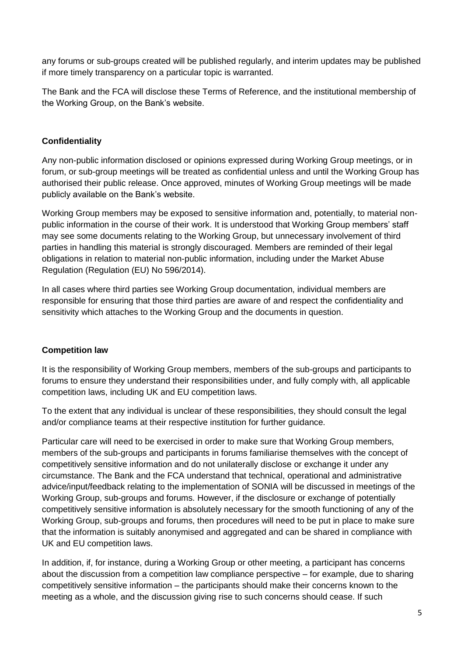any forums or sub-groups created will be published regularly, and interim updates may be published if more timely transparency on a particular topic is warranted.

The Bank and the FCA will disclose these Terms of Reference, and the institutional membership of the Working Group, on the Bank's website.

# **Confidentiality**

Any non-public information disclosed or opinions expressed during Working Group meetings, or in forum, or sub-group meetings will be treated as confidential unless and until the Working Group has authorised their public release. Once approved, minutes of Working Group meetings will be made publicly available on the Bank's website.

Working Group members may be exposed to sensitive information and, potentially, to material nonpublic information in the course of their work. It is understood that Working Group members' staff may see some documents relating to the Working Group, but unnecessary involvement of third parties in handling this material is strongly discouraged. Members are reminded of their legal obligations in relation to material non-public information, including under the Market Abuse Regulation (Regulation (EU) No 596/2014).

In all cases where third parties see Working Group documentation, individual members are responsible for ensuring that those third parties are aware of and respect the confidentiality and sensitivity which attaches to the Working Group and the documents in question.

## **Competition law**

It is the responsibility of Working Group members, members of the sub-groups and participants to forums to ensure they understand their responsibilities under, and fully comply with, all applicable competition laws, including UK and EU competition laws.

To the extent that any individual is unclear of these responsibilities, they should consult the legal and/or compliance teams at their respective institution for further guidance.

Particular care will need to be exercised in order to make sure that Working Group members, members of the sub-groups and participants in forums familiarise themselves with the concept of competitively sensitive information and do not unilaterally disclose or exchange it under any circumstance. The Bank and the FCA understand that technical, operational and administrative advice/input/feedback relating to the implementation of SONIA will be discussed in meetings of the Working Group, sub-groups and forums. However, if the disclosure or exchange of potentially competitively sensitive information is absolutely necessary for the smooth functioning of any of the Working Group, sub-groups and forums, then procedures will need to be put in place to make sure that the information is suitably anonymised and aggregated and can be shared in compliance with UK and EU competition laws.

In addition, if, for instance, during a Working Group or other meeting, a participant has concerns about the discussion from a competition law compliance perspective – for example, due to sharing competitively sensitive information – the participants should make their concerns known to the meeting as a whole, and the discussion giving rise to such concerns should cease. If such